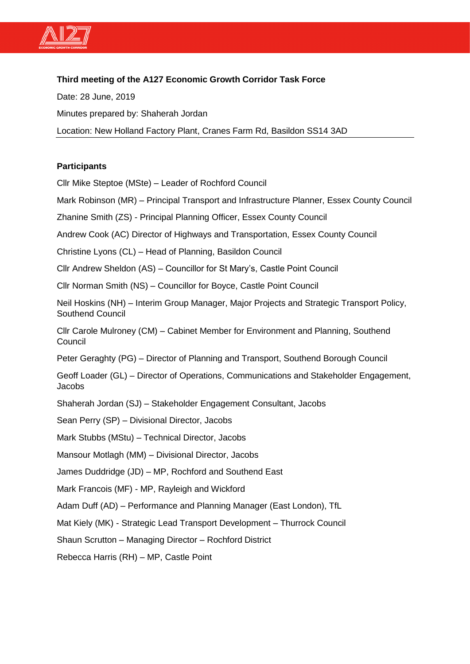

# **Third meeting of the A127 Economic Growth Corridor Task Force**

Date: 28 June, 2019 Minutes prepared by: Shaherah Jordan Location: New Holland Factory Plant, Cranes Farm Rd, Basildon SS14 3AD

## **Participants**

Cllr Mike Steptoe (MSte) – Leader of Rochford Council

Mark Robinson (MR) – Principal Transport and Infrastructure Planner, Essex County Council

Zhanine Smith (ZS) - Principal Planning Officer, Essex County Council

Andrew Cook (AC) Director of Highways and Transportation, Essex County Council

Christine Lyons (CL) – Head of Planning, Basildon Council

Cllr Andrew Sheldon (AS) – Councillor for St Mary's, Castle Point Council

Cllr Norman Smith (NS) – Councillor for Boyce, Castle Point Council

Neil Hoskins (NH) – Interim Group Manager, Major Projects and Strategic Transport Policy, Southend Council

Cllr Carole Mulroney (CM) – Cabinet Member for Environment and Planning, Southend **Council** 

Peter Geraghty (PG) – Director of Planning and Transport, Southend Borough Council

Geoff Loader (GL) – Director of Operations, Communications and Stakeholder Engagement, Jacobs

Shaherah Jordan (SJ) – Stakeholder Engagement Consultant, Jacobs

Sean Perry (SP) – Divisional Director, Jacobs

Mark Stubbs (MStu) – Technical Director, Jacobs

Mansour Motlagh (MM) – Divisional Director, Jacobs

James Duddridge (JD) – MP, Rochford and Southend East

Mark Francois (MF) - MP, Rayleigh and Wickford

Adam Duff (AD) – Performance and Planning Manager (East London), TfL

Mat Kiely (MK) - Strategic Lead Transport Development – Thurrock Council

Shaun Scrutton – Managing Director – Rochford District

Rebecca Harris (RH) – MP, Castle Point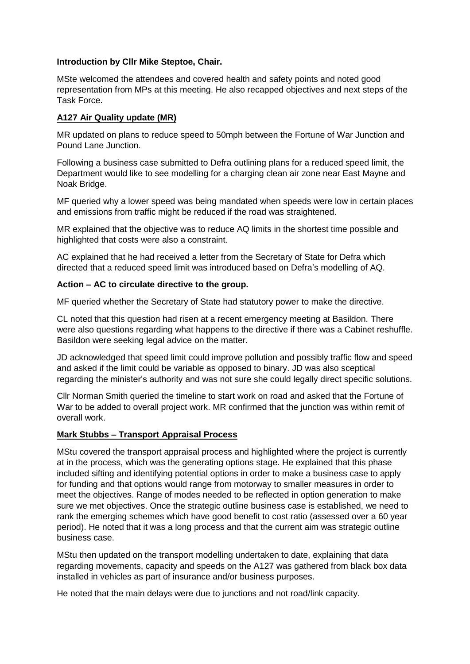### **Introduction by Cllr Mike Steptoe, Chair.**

MSte welcomed the attendees and covered health and safety points and noted good representation from MPs at this meeting. He also recapped objectives and next steps of the Task Force.

## **A127 Air Quality update (MR)**

MR updated on plans to reduce speed to 50mph between the Fortune of War Junction and Pound Lane Junction.

Following a business case submitted to Defra outlining plans for a reduced speed limit, the Department would like to see modelling for a charging clean air zone near East Mayne and Noak Bridge.

MF queried why a lower speed was being mandated when speeds were low in certain places and emissions from traffic might be reduced if the road was straightened.

MR explained that the objective was to reduce AQ limits in the shortest time possible and highlighted that costs were also a constraint.

AC explained that he had received a letter from the Secretary of State for Defra which directed that a reduced speed limit was introduced based on Defra's modelling of AQ.

## **Action – AC to circulate directive to the group.**

MF queried whether the Secretary of State had statutory power to make the directive.

CL noted that this question had risen at a recent emergency meeting at Basildon. There were also questions regarding what happens to the directive if there was a Cabinet reshuffle. Basildon were seeking legal advice on the matter.

JD acknowledged that speed limit could improve pollution and possibly traffic flow and speed and asked if the limit could be variable as opposed to binary. JD was also sceptical regarding the minister's authority and was not sure she could legally direct specific solutions.

Cllr Norman Smith queried the timeline to start work on road and asked that the Fortune of War to be added to overall project work. MR confirmed that the junction was within remit of overall work.

## **Mark Stubbs – Transport Appraisal Process**

MStu covered the transport appraisal process and highlighted where the project is currently at in the process, which was the generating options stage. He explained that this phase included sifting and identifying potential options in order to make a business case to apply for funding and that options would range from motorway to smaller measures in order to meet the objectives. Range of modes needed to be reflected in option generation to make sure we met objectives. Once the strategic outline business case is established, we need to rank the emerging schemes which have good benefit to cost ratio (assessed over a 60 year period). He noted that it was a long process and that the current aim was strategic outline business case.

MStu then updated on the transport modelling undertaken to date, explaining that data regarding movements, capacity and speeds on the A127 was gathered from black box data installed in vehicles as part of insurance and/or business purposes.

He noted that the main delays were due to junctions and not road/link capacity.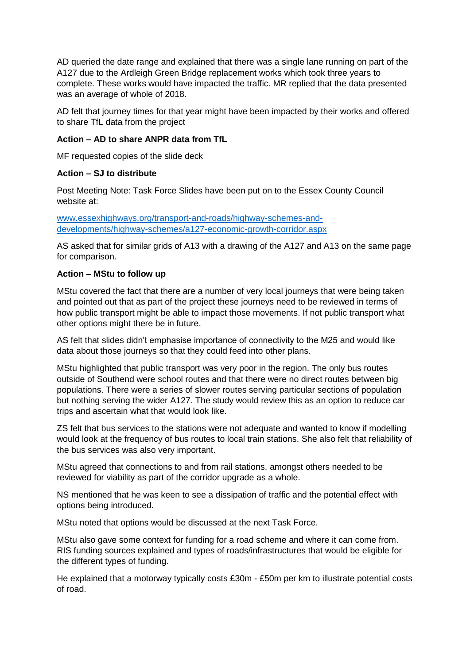AD queried the date range and explained that there was a single lane running on part of the A127 due to the Ardleigh Green Bridge replacement works which took three years to complete. These works would have impacted the traffic. MR replied that the data presented was an average of whole of 2018.

AD felt that journey times for that year might have been impacted by their works and offered to share TfL data from the project

## **Action – AD to share ANPR data from TfL**

MF requested copies of the slide deck

## **Action – SJ to distribute**

Post Meeting Note: Task Force Slides have been put on to the Essex County Council website at:

[www.essexhighways.org/transport-and-roads/highway-schemes-and](file:///C:/Users/BURTONG/AppData/Local/Microsoft/Windows/INetCache/Content.Outlook/MOFSHB69/www.essexhighways.org/transport-and-roads/highway-schemes-and-developments/highway-schemes/a127-economic-growth-corridor.aspx)[developments/highway-schemes/a127-economic-growth-corridor.aspx](file:///C:/Users/BURTONG/AppData/Local/Microsoft/Windows/INetCache/Content.Outlook/MOFSHB69/www.essexhighways.org/transport-and-roads/highway-schemes-and-developments/highway-schemes/a127-economic-growth-corridor.aspx)

AS asked that for similar grids of A13 with a drawing of the A127 and A13 on the same page for comparison.

## **Action – MStu to follow up**

MStu covered the fact that there are a number of very local journeys that were being taken and pointed out that as part of the project these journeys need to be reviewed in terms of how public transport might be able to impact those movements. If not public transport what other options might there be in future.

AS felt that slides didn't emphasise importance of connectivity to the M25 and would like data about those journeys so that they could feed into other plans.

MStu highlighted that public transport was very poor in the region. The only bus routes outside of Southend were school routes and that there were no direct routes between big populations. There were a series of slower routes serving particular sections of population but nothing serving the wider A127. The study would review this as an option to reduce car trips and ascertain what that would look like.

ZS felt that bus services to the stations were not adequate and wanted to know if modelling would look at the frequency of bus routes to local train stations. She also felt that reliability of the bus services was also very important.

MStu agreed that connections to and from rail stations, amongst others needed to be reviewed for viability as part of the corridor upgrade as a whole.

NS mentioned that he was keen to see a dissipation of traffic and the potential effect with options being introduced.

MStu noted that options would be discussed at the next Task Force.

MStu also gave some context for funding for a road scheme and where it can come from. RIS funding sources explained and types of roads/infrastructures that would be eligible for the different types of funding.

He explained that a motorway typically costs £30m - £50m per km to illustrate potential costs of road.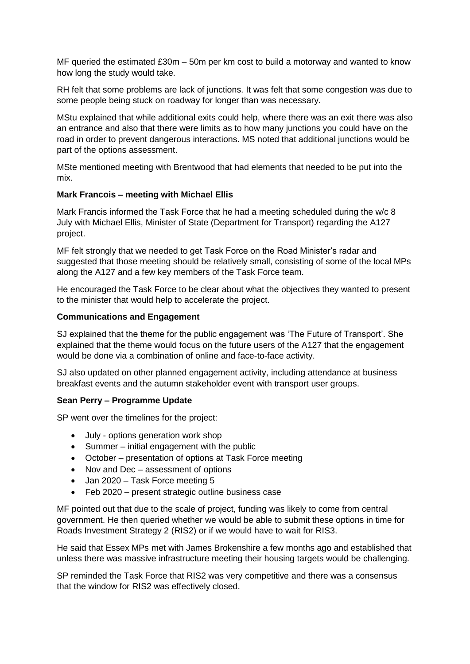MF queried the estimated £30m – 50m per km cost to build a motorway and wanted to know how long the study would take.

RH felt that some problems are lack of junctions. It was felt that some congestion was due to some people being stuck on roadway for longer than was necessary.

MStu explained that while additional exits could help, where there was an exit there was also an entrance and also that there were limits as to how many junctions you could have on the road in order to prevent dangerous interactions. MS noted that additional junctions would be part of the options assessment.

MSte mentioned meeting with Brentwood that had elements that needed to be put into the mix.

#### **Mark Francois – meeting with Michael Ellis**

Mark Francis informed the Task Force that he had a meeting scheduled during the w/c 8 July with Michael Ellis, Minister of State (Department for Transport) regarding the A127 project.

MF felt strongly that we needed to get Task Force on the Road Minister's radar and suggested that those meeting should be relatively small, consisting of some of the local MPs along the A127 and a few key members of the Task Force team.

He encouraged the Task Force to be clear about what the objectives they wanted to present to the minister that would help to accelerate the project.

#### **Communications and Engagement**

SJ explained that the theme for the public engagement was 'The Future of Transport'. She explained that the theme would focus on the future users of the A127 that the engagement would be done via a combination of online and face-to-face activity.

SJ also updated on other planned engagement activity, including attendance at business breakfast events and the autumn stakeholder event with transport user groups.

## **Sean Perry – Programme Update**

SP went over the timelines for the project:

- July options generation work shop
- Summer initial engagement with the public
- October presentation of options at Task Force meeting
- Nov and Dec assessment of options
- Jan 2020 Task Force meeting 5
- Feb 2020 present strategic outline business case

MF pointed out that due to the scale of project, funding was likely to come from central government. He then queried whether we would be able to submit these options in time for Roads Investment Strategy 2 (RIS2) or if we would have to wait for RIS3.

He said that Essex MPs met with James Brokenshire a few months ago and established that unless there was massive infrastructure meeting their housing targets would be challenging.

SP reminded the Task Force that RIS2 was very competitive and there was a consensus that the window for RIS2 was effectively closed.